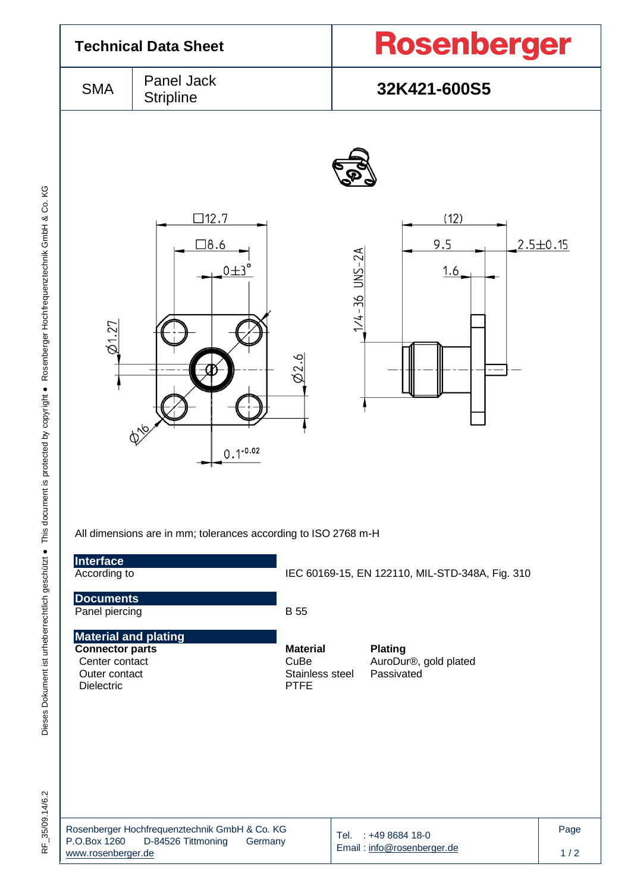